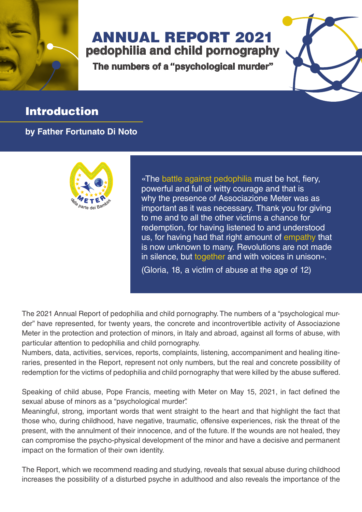

## ANNUAL REPORT 2021

**pedophilia and child pornography**

**The numbers of a "psychological murder"**

## **Introduction**

**by Father Fortunato Di Noto**



«The battle against pedophilia must be hot, fiery, powerful and full of witty courage and that is why the presence of Associazione Meter was as important as it was necessary. Thank you for giving to me and to all the other victims a chance for redemption, for having listened to and understood us, for having had that right amount of empathy that is now unknown to many. Revolutions are not made in silence, but together and with voices in unison».

(Gloria, 18, a victim of abuse at the age of 12)

The 2021 Annual Report of pedophilia and child pornography. The numbers of a "psychological murder" have represented, for twenty years, the concrete and incontrovertible activity of Associazione Meter in the protection and protection of minors, in Italy and abroad, against all forms of abuse, with particular attention to pedophilia and child pornography.

Numbers, data, activities, services, reports, complaints, listening, accompaniment and healing itineraries, presented in the Report, represent not only numbers, but the real and concrete possibility of redemption for the victims of pedophilia and child pornography that were killed by the abuse suffered.

Speaking of child abuse, Pope Francis, meeting with Meter on May 15, 2021, in fact defined the sexual abuse of minors as a "psychological murder".

Meaningful, strong, important words that went straight to the heart and that highlight the fact that those who, during childhood, have negative, traumatic, offensive experiences, risk the threat of the present, with the annulment of their innocence, and of the future. If the wounds are not healed, they can compromise the psycho-physical development of the minor and have a decisive and permanent impact on the formation of their own identity.

The Report, which we recommend reading and studying, reveals that sexual abuse during childhood increases the possibility of a disturbed psyche in adulthood and also reveals the importance of the